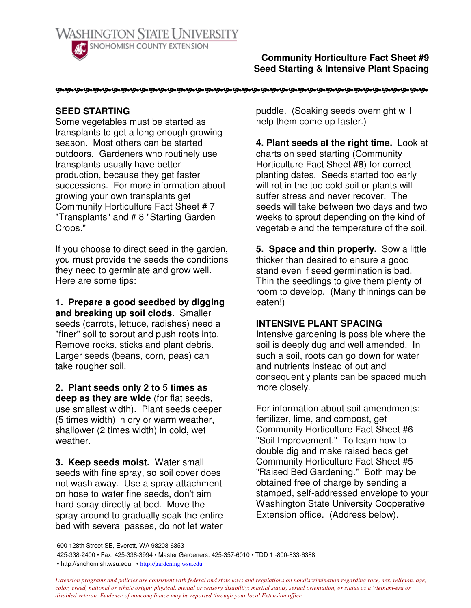

**Community Horticulture Fact Sheet #9 Seed Starting & Intensive Plant Spacing**

## **SEED STARTING**

Some vegetables must be started as transplants to get a long enough growing season. Most others can be started outdoors. Gardeners who routinely use transplants usually have better production, because they get faster successions. For more information about growing your own transplants get Community Horticulture Fact Sheet # 7 "Transplants" and # 8 "Starting Garden Crops."

If you choose to direct seed in the garden, you must provide the seeds the conditions they need to germinate and grow well. Here are some tips:

**1. Prepare a good seedbed by digging and breaking up soil clods.** Smaller seeds (carrots, lettuce, radishes) need a "finer" soil to sprout and push roots into. Remove rocks, sticks and plant debris. Larger seeds (beans, corn, peas) can take rougher soil.

**2. Plant seeds only 2 to 5 times as deep as they are wide** (for flat seeds, use smallest width). Plant seeds deeper (5 times width) in dry or warm weather, shallower (2 times width) in cold, wet weather.

**3. Keep seeds moist.** Water small seeds with fine spray, so soil cover does not wash away. Use a spray attachment on hose to water fine seeds, don't aim hard spray directly at bed. Move the spray around to gradually soak the entire bed with several passes, do not let water

puddle. (Soaking seeds overnight will help them come up faster.)

**4. Plant seeds at the right time.** Look at charts on seed starting (Community Horticulture Fact Sheet #8) for correct planting dates. Seeds started too early will rot in the too cold soil or plants will suffer stress and never recover. The seeds will take between two days and two weeks to sprout depending on the kind of vegetable and the temperature of the soil.

**5. Space and thin properly.** Sow a little thicker than desired to ensure a good stand even if seed germination is bad. Thin the seedlings to give them plenty of room to develop. (Many thinnings can be eaten!)

## **INTENSIVE PLANT SPACING**

Intensive gardening is possible where the soil is deeply dug and well amended. In such a soil, roots can go down for water and nutrients instead of out and consequently plants can be spaced much more closely.

For information about soil amendments: fertilizer, lime, and compost, get Community Horticulture Fact Sheet #6 "Soil Improvement." To learn how to double dig and make raised beds get Community Horticulture Fact Sheet #5 "Raised Bed Gardening." Both may be obtained free of charge by sending a stamped, self-addressed envelope to your Washington State University Cooperative Extension office. (Address below).

425-338-2400 • Fax: 425-338-3994 • Master Gardeners: 425-357-6010 • TDD 1 -800-833-6388

• http://snohomish.wsu.edu • http://gardening.wsu.edu

Extension programs and policies are consistent with federal and state laws and regulations on nondiscrimination regarding race, sex, religion, age, color, creed, national or ethnic origin; physical, mental or sensory disability; marital status, sexual orientation, or status as a Vietnam-era or *disabled veteran. Evidence of noncompliance may be reported through your local Extension office.*

<sup>600</sup> 128th Street SE, Everett, WA 98208-6353